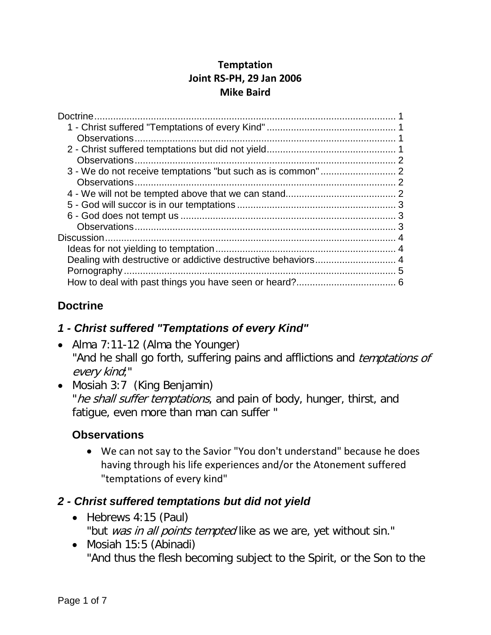#### **Temptation Joint RS-PH, 29 Jan 2006 Mike Baird**

| Dealing with destructive or addictive destructive behaviors 4 |  |
|---------------------------------------------------------------|--|
|                                                               |  |
|                                                               |  |
|                                                               |  |

# <span id="page-0-0"></span>**Doctrine**

# <span id="page-0-1"></span>*1 - Christ suffered "Temptations of every Kind"*

- Alma 7:11-12 (Alma the Younger) "And he shall go forth, suffering pains and afflictions and *temptations of* every kind;"
- Mosiah 3:7 (King Benjamin) "he shall suffer temptations, and pain of body, hunger, thirst, and fatigue, even more than man can suffer "

# <span id="page-0-2"></span>**Observations**

• We can not say to the Savior "You don't understand" because he does having through his life experiences and/or the Atonement suffered "temptations of every kind"

# <span id="page-0-3"></span>*2 - Christ suffered temptations but did not yield*

- Hebrews 4:15 (Paul)
	- "but was in all points tempted like as we are, yet without sin."
- Mosiah 15:5 (Abinadi) "And thus the flesh becoming subject to the Spirit, or the Son to the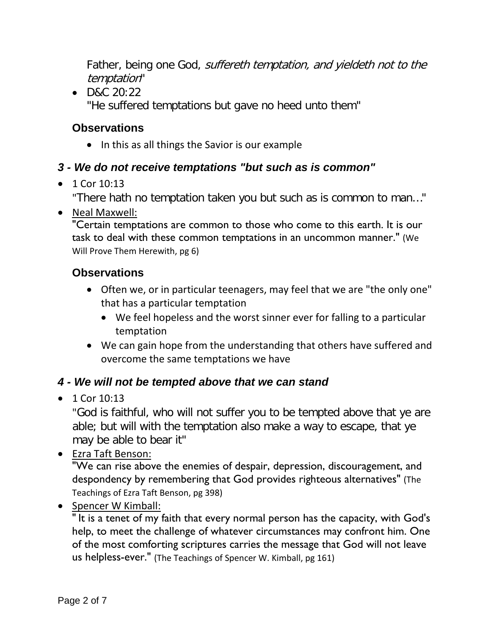Father, being one God, *suffereth temptation, and yieldeth not to the* temptation"

• D&C 20:22 "He suffered temptations but gave no heed unto them"

### <span id="page-1-0"></span>**Observations**

• In this as all things the Savior is our example

### <span id="page-1-1"></span>*3 - We do not receive temptations "but such as is common"*

• 1 Cor 10:13

"There hath no temptation taken you but such as is common to man…"

• Neal Maxwell:

"Certain temptations are common to those who come to this earth. It is our task to deal with these common temptations in an uncommon manner." (We Will Prove Them Herewith, pg 6)

#### <span id="page-1-2"></span>**Observations**

- Often we, or in particular teenagers, may feel that we are "the only one" that has a particular temptation
	- We feel hopeless and the worst sinner ever for falling to a particular temptation
- We can gain hope from the understanding that others have suffered and overcome the same temptations we have

#### <span id="page-1-3"></span>*4 - We will not be tempted above that we can stand*

 $• 1$  Cor 10:13

"God is faithful, who will not suffer you to be tempted above that ye are able; but will with the temptation also make a way to escape, that ye may be able to bear it"

• Ezra Taft Benson:

"We can rise above the enemies of despair, depression, discouragement, and despondency by remembering that God provides righteous alternatives" (The Teachings of Ezra Taft Benson, pg 398)

• Spencer W Kimball:

" It is a tenet of my faith that every normal person has the capacity, with God's help, to meet the challenge of whatever circumstances may confront him. One of the most comforting scriptures carries the message that God will not leave us helpless-ever." (The Teachings of Spencer W. Kimball, pg 161)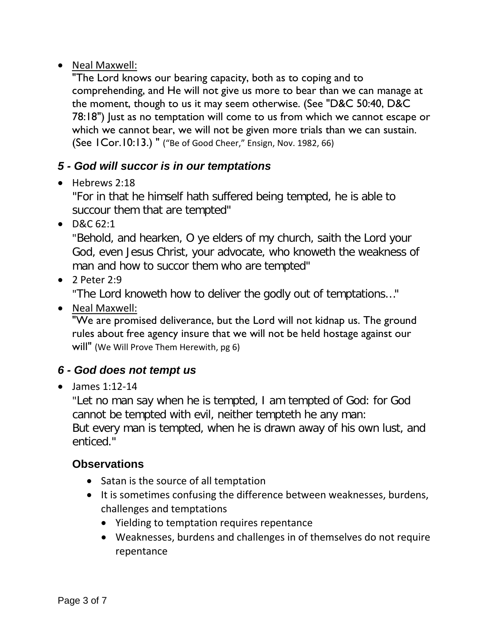#### • Neal Maxwell:

"The Lord knows our bearing capacity, both as to coping and to comprehending, and He will not give us more to bear than we can manage at the moment, though to us it may seem otherwise. (See "D&C 50:40, D&C 78:18") Just as no temptation will come to us from which we cannot escape or which we cannot bear, we will not be given more trials than we can sustain. (See 1Cor.10:13.) " ("Be of Good Cheer," Ensign, Nov. 1982, 66)

### <span id="page-2-0"></span>*5 - God will succor is in our temptations*

• Hebrews 2:18

"For in that he himself hath suffered being tempted, he is able to succour them that are tempted"

• D&C 62:1

"Behold, and hearken, O ye elders of my church, saith the Lord your God, even Jesus Christ, your advocate, who knoweth the weakness of man and how to succor them who are tempted"

• 2 Peter 2:9

"The Lord knoweth how to deliver the godly out of temptations…"

• Neal Maxwell:

"We are promised deliverance, but the Lord will not kidnap us. The ground rules about free agency insure that we will not be held hostage against our will" (We Will Prove Them Herewith, pg 6)

# <span id="page-2-1"></span>*6 - God does not tempt us*

• James 1:12-14

"Let no man say when he is tempted, I am tempted of God: for God cannot be tempted with evil, neither tempteth he any man: But every man is tempted, when he is drawn away of his own lust, and enticed."

# <span id="page-2-2"></span>**Observations**

- Satan is the source of all temptation
- It is sometimes confusing the difference between weaknesses, burdens, challenges and temptations
	- Yielding to temptation requires repentance
	- Weaknesses, burdens and challenges in of themselves do not require repentance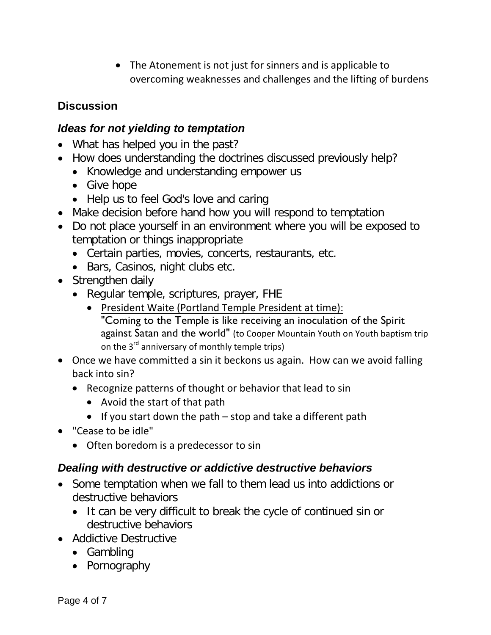• The Atonement is not just for sinners and is applicable to overcoming weaknesses and challenges and the lifting of burdens

#### <span id="page-3-0"></span>**Discussion**

#### <span id="page-3-1"></span>*Ideas for not yielding to temptation*

- What has helped you in the past?
- How does understanding the doctrines discussed previously help?
	- Knowledge and understanding empower us
	- Give hope
	- Help us to feel God's love and caring
- Make decision before hand how you will respond to temptation
- Do not place yourself in an environment where you will be exposed to temptation or things inappropriate
	- Certain parties, movies, concerts, restaurants, etc.
	- Bars, Casinos, night clubs etc.
- Strengthen daily
	- Regular temple, scriptures, prayer, FHE
		- President Waite (Portland Temple President at time): "Coming to the Temple is like receiving an inoculation of the Spirit against Satan and the world" (to Cooper Mountain Youth on Youth baptism trip on the  $3^{rd}$  anniversary of monthly temple trips)
- Once we have committed a sin it beckons us again. How can we avoid falling back into sin?
	- Recognize patterns of thought or behavior that lead to sin
		- Avoid the start of that path
		- If you start down the path stop and take a different path
- "Cease to be idle"
	- Often boredom is a predecessor to sin

#### <span id="page-3-2"></span>*Dealing with destructive or addictive destructive behaviors*

- Some temptation when we fall to them lead us into addictions or destructive behaviors
	- It can be very difficult to break the cycle of continued sin or destructive behaviors
- Addictive Destructive
	- Gambling
	- Pornography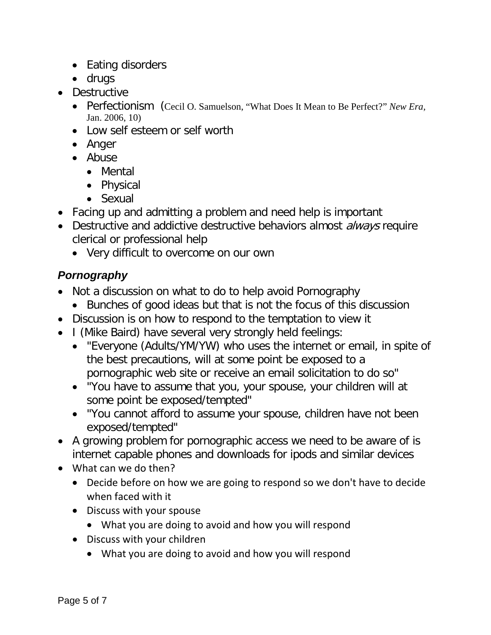- Eating disorders
- drugs
- Destructive
	- Perfectionism (Cecil O. Samuelson, "What Does It Mean to Be Perfect?" *New Era,* Jan. 2006, 10)
	- Low self esteem or self worth
	- Anger
	- Abuse
		- Mental
		- Physical
		- Sexual
- Facing up and admitting a problem and need help is important
- Destructive and addictive destructive behaviors almost *always* require clerical or professional help
	- Very difficult to overcome on our own

# <span id="page-4-0"></span>*Pornography*

- Not a discussion on what to do to help avoid Pornography
	- Bunches of good ideas but that is not the focus of this discussion
- Discussion is on how to respond to the temptation to view it
- I (Mike Baird) have several very strongly held feelings:
	- "Everyone (Adults/YM/YW) who uses the internet or email, in spite of the best precautions, will at some point be exposed to a pornographic web site or receive an email solicitation to do so"
	- "You have to assume that you, your spouse, your children will at some point be exposed/tempted"
	- "You cannot afford to assume your spouse, children have not been exposed/tempted"
- A growing problem for pornographic access we need to be aware of is internet capable phones and downloads for ipods and similar devices
- What can we do then?
	- Decide before on how we are going to respond so we don't have to decide when faced with it
	- Discuss with your spouse
		- What you are doing to avoid and how you will respond
	- Discuss with your children
		- What you are doing to avoid and how you will respond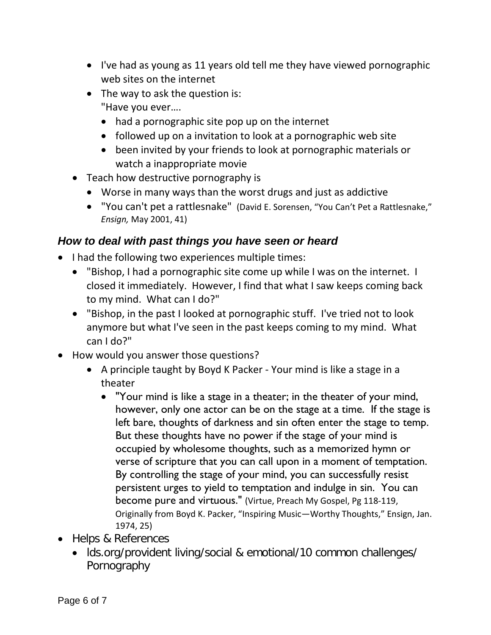- I've had as young as 11 years old tell me they have viewed pornographic web sites on the internet
- The way to ask the question is: "Have you ever….
	- had a pornographic site pop up on the internet
	- followed up on a invitation to look at a pornographic web site
	- been invited by your friends to look at pornographic materials or watch a inappropriate movie
- Teach how destructive pornography is
	- Worse in many ways than the worst drugs and just as addictive
	- "You can't pet a rattlesnake" (David E. Sorensen, "You Can't Pet a Rattlesnake," *Ensign,* May 2001, 41)

### <span id="page-5-0"></span>*How to deal with past things you have seen or heard*

- I had the following two experiences multiple times:
	- "Bishop, I had a pornographic site come up while I was on the internet. I closed it immediately. However, I find that what I saw keeps coming back to my mind. What can I do?"
	- "Bishop, in the past I looked at pornographic stuff. I've tried not to look anymore but what I've seen in the past keeps coming to my mind. What can I do?"
- How would you answer those questions?
	- A principle taught by Boyd K Packer Your mind is like a stage in a theater
		- "Your mind is like a stage in a theater; in the theater of your mind, however, only one actor can be on the stage at a time. If the stage is left bare, thoughts of darkness and sin often enter the stage to temp. But these thoughts have no power if the stage of your mind is occupied by wholesome thoughts, such as a memorized hymn or verse of scripture that you can call upon in a moment of temptation. By controlling the stage of your mind, you can successfully resist persistent urges to yield to temptation and indulge in sin. You can become pure and virtuous." (Virtue, Preach My Gospel, Pg 118-119, Originally from Boyd K. Packer, "Inspiring Music—Worthy Thoughts," Ensign, Jan. 1974, 25)
- Helps & References
	- lds.org/provident living/social & emotional/10 common challenges/ Pornography